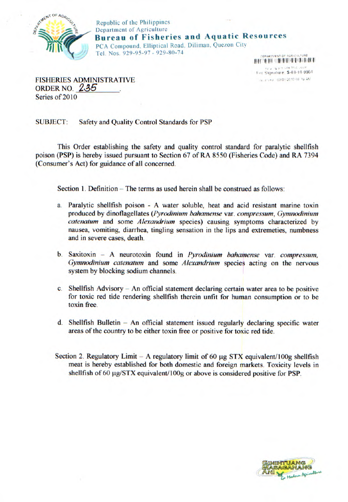

Republic of the Philippines Department of Agriculture **Bureau of Fisheries and Aquatic Resources**  PCA Compound. Elliptical Road, Diliman, Quezon City Tel. Nos. 929-95-97- 929-80-74 **FRANTMENT OF** 

> II **II II** liii cial report Cire trial For Signature: \$-03-10-0004 16. erred 03/01/2010 08:19 AM

FISHERIES ADMINISTRATIVE **ORDER NO. 235** Series of 2010

SUBJECT: Safety and Quality Control Standards for PSP

This Order establishing the safety and quality control standard for paralytic shellfish poison (PSP) is hereby issued pursuant to Section 67 of RA 8550 (Fisheries Code) and RA 7394 (Consumer's Act) for guidance of all concerned.

Section 1. Definition  $-$  The terms as used herein shall be construed as follows:

- a. Paralytic shellfish poison A water soluble, heat and acid resistant marine toxin *produced by dinoflagellates (Pyrodinium bahamense* var. *compressum, Gymnodinium catenatum* and some *Alexandrium* species) causing symptoms characterized by nausea, vomiting, diarrhea, tingling sensation in the lips and extremeties, numbness and in severe cases, death.
- b. Saxitoxin A neurotoxin found in *Pyrodinium bahamense* var. *compressum, Gymnodinium catenatum* and some *Alexandrium* species acting on the nervous system by blocking sodium channels.
- c. Shellfish Advisory An official statement declaring certain water area to be positive for toxic red tide rendering shellfish therein unfit for human consumption or to be toxin free.
- d. Shellfish Bulletin  $-$  An official statement issued regularly declaring specific water areas of the country to be either toxin free or positive for toxic red tide.
- Section 2. Regulatory Limit  $-$  A regulatory limit of 60  $\mu$ g STX equivalent/100g shellfish meat is hereby established for both domestic and foreign markets. Toxicity levels in shellfish of 60  $\mu$ g/STX equivalent/100g or above is considered positive for PSP.

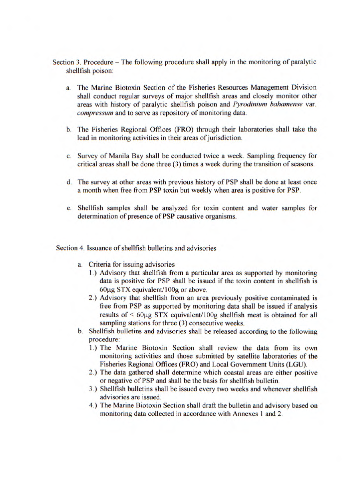- Section 3. Procedure The following procedure shall apply in the monitoring of paralytic shellfish poison:
	- a. The Marine Biotoxin Section of the Fisheries Resources Management Division shall conduct regular surveys of major shellfish areas and closely monitor other areas with history of paralytic shellfish poison and *Pyrodinium hahamense* var. *compressum* and to serve as repository of monitoring data.
	- b. The Fisheries Regional Offices (FRO) through their laboratories shall take the lead in monitoring activities in their areas of jurisdiction.
	- c. Survey of Manila Bay shall be conducted twice a week. Sampling frequency for critical areas shall be done three (3) times a week during the transition of seasons.
	- d. The survey at other areas with previous history of PSP shall be done at least once a month when free from PSP toxin but weekly when area is positive for PSP.
	- e. Shellfish samples shall be analyzed for toxin content and water samples for determination of presence of PSP causative organisms.

Section 4. Issuance of shellfish bulletins and advisories

- a. Criteria for issuing advisories
	- 1.) Advisory that shellfish from a particular area as supported by monitoring data is positive for PSP shall be issued if the toxin content in shellfish is  $60\mu$ g STX equivalent/ $100g$  or above.
	- 2.) Advisory that shellfish from an area previously positive contaminated is free from PSP as supported by monitoring data shall be issued if analysis results of  $\leq 60 \mu$ g STX equivalent/100g shellfish meat is obtained for all sampling stations for three (3) consecutive weeks.
- b. Shellfish bulletins and advisories shall be released according to the following procedure:
	- I.) The Marine Biotoxin Section shall review the data from its own monitoring activities and those submitted by satellite laboratories of the Fisheries Regional Offices (FRO) and Local Government Units (LGU).
	- 2.) The data gathered shall determine which coastal areas are either positive or negative of PSP and shall be the basis for shellfish bulletin.
	- 3.) Shellfish bulletins shall be issued every two weeks and whenever shellfish advisories are issued.
	- 4.) The Marine Biotoxin Section shall draft the bulletin and advisory based on monitoring data collected in accordance with Annexes I and 2.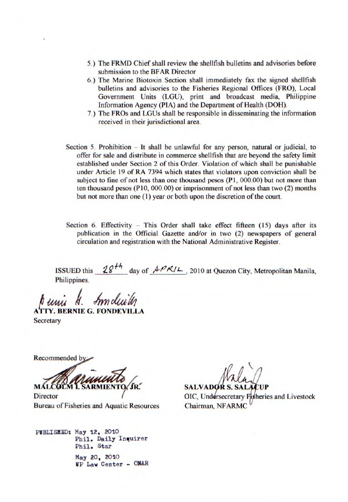- 5.) The FRMD Chief shall review the shellfish bulletins and advisories before submission to the BFAR Director
- 6.) The Marine Biotoxin Section shall immediately fax the signed shellfish bulletins and advisories to the Fisheries Regional Offices (FRO), Local Government Units (LGU), print and broadcast media, Philippine Information Agency (PIA) and the Department of Health (DOH).
- 7.) The FROs and LGUs shall be responsible in disseminating the information received in their jurisdictional area.
- Section 5. Prohibition  $-$  It shall be unlawful for any person, natural or judicial, to offer for sale and distribute in commerce shellfish that are beyond the safety limit established under Section 2 of this Order. Violation of which shall be punishable under Article 19 of RA 7394 which states that violators upon conviction shall be subject to fine of not less than one thousand pesos (P1, 000.00) but not more than ten thousand pesos (P10, 000.00) or imprisonment of not less than two (2) months but not more than one (1) year or both upon the discretion of the court.
- Section 6. Effectivity This Order shall take effect fifteen (15) days after its publication in the Official Gazette and/or in two (2) newspapers of general circulation and registration with the National Administrative Register.

ISSUED this  $28<sup>th</sup>$  day of  $APR/L$ , 2010 at Quezon City, Metropolitan Manila, Philippines.

**ArTY. BERNIE G. FONDE VILLA** 

**Secretary** 

Recommended b

Bureau of Fisheries and Aquatic Resources Chairman, NFARMC

**PIBLISIID: May 12, 2010**  Phil, Daily Inquirer Phil, Star May 20, 2010 VP Law Center - 0)IAR

**MALCOLM I. SARMIENTO, JR. SALVADOR S. SALACUP<br>Director OIC, Undersecretary Fisheries and Livestock**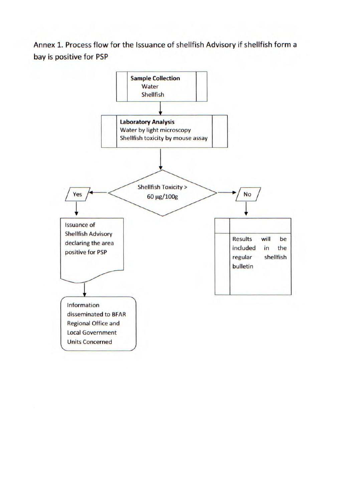Annex 1. Process flow for the Issuance of shellfish Advisory if shellfish form a bay is positive for PSP